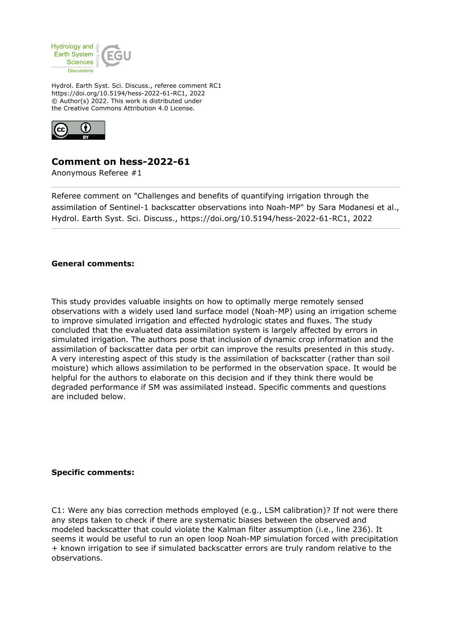

Hydrol. Earth Syst. Sci. Discuss., referee comment RC1 https://doi.org/10.5194/hess-2022-61-RC1, 2022 © Author(s) 2022. This work is distributed under the Creative Commons Attribution 4.0 License.



## **Comment on hess-2022-61**

Anonymous Referee #1

Referee comment on "Challenges and benefits of quantifying irrigation through the assimilation of Sentinel-1 backscatter observations into Noah-MP" by Sara Modanesi et al., Hydrol. Earth Syst. Sci. Discuss., https://doi.org/10.5194/hess-2022-61-RC1, 2022

## **General comments:**

This study provides valuable insights on how to optimally merge remotely sensed observations with a widely used land surface model (Noah-MP) using an irrigation scheme to improve simulated irrigation and effected hydrologic states and fluxes. The study concluded that the evaluated data assimilation system is largely affected by errors in simulated irrigation. The authors pose that inclusion of dynamic crop information and the assimilation of backscatter data per orbit can improve the results presented in this study. A very interesting aspect of this study is the assimilation of backscatter (rather than soil moisture) which allows assimilation to be performed in the observation space. It would be helpful for the authors to elaborate on this decision and if they think there would be degraded performance if SM was assimilated instead. Specific comments and questions are included below.

## **Specific comments:**

C1: Were any bias correction methods employed (e.g., LSM calibration)? If not were there any steps taken to check if there are systematic biases between the observed and modeled backscatter that could violate the Kalman filter assumption (i.e., line 236). It seems it would be useful to run an open loop Noah-MP simulation forced with precipitation + known irrigation to see if simulated backscatter errors are truly random relative to the observations.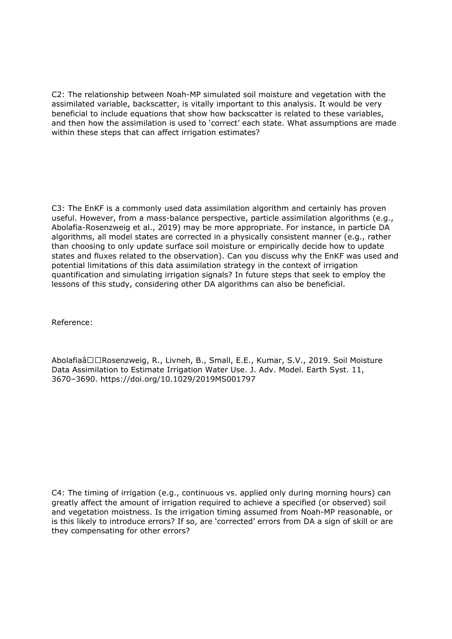C2: The relationship between Noah-MP simulated soil moisture and vegetation with the assimilated variable, backscatter, is vitally important to this analysis. It would be very beneficial to include equations that show how backscatter is related to these variables, and then how the assimilation is used to 'correct' each state. What assumptions are made within these steps that can affect irrigation estimates?

C3: The EnKF is a commonly used data assimilation algorithm and certainly has proven useful. However, from a mass-balance perspective, particle assimilation algorithms (e.g., Abolafia-Rosenzweig et al., 2019) may be more appropriate. For instance, in particle DA algorithms, all model states are corrected in a physically consistent manner (e.g., rather than choosing to only update surface soil moisture or empirically decide how to update states and fluxes related to the observation). Can you discuss why the EnKF was used and potential limitations of this data assimilation strategy in the context of irrigation quantification and simulating irrigation signals? In future steps that seek to employ the lessons of this study, considering other DA algorithms can also be beneficial.

Reference:

Abolafiaâ□□Rosenzweig, R., Livneh, B., Small, E.E., Kumar, S.V., 2019. Soil Moisture Data Assimilation to Estimate Irrigation Water Use. J. Adv. Model. Earth Syst. 11, 3670–3690. https://doi.org/10.1029/2019MS001797

C4: The timing of irrigation (e.g., continuous vs. applied only during morning hours) can greatly affect the amount of irrigation required to achieve a specified (or observed) soil and vegetation moistness. Is the irrigation timing assumed from Noah-MP reasonable, or is this likely to introduce errors? If so, are 'corrected' errors from DA a sign of skill or are they compensating for other errors?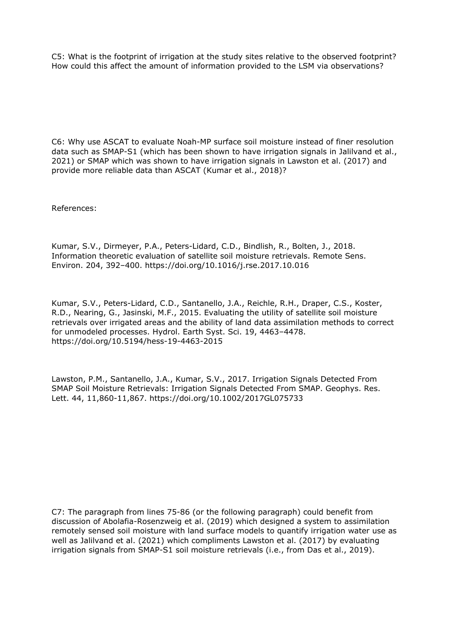C5: What is the footprint of irrigation at the study sites relative to the observed footprint? How could this affect the amount of information provided to the LSM via observations?

C6: Why use ASCAT to evaluate Noah-MP surface soil moisture instead of finer resolution data such as SMAP-S1 (which has been shown to have irrigation signals in Jalilvand et al., 2021) or SMAP which was shown to have irrigation signals in Lawston et al. (2017) and provide more reliable data than ASCAT (Kumar et al., 2018)?

References:

Kumar, S.V., Dirmeyer, P.A., Peters-Lidard, C.D., Bindlish, R., Bolten, J., 2018. Information theoretic evaluation of satellite soil moisture retrievals. Remote Sens. Environ. 204, 392–400. https://doi.org/10.1016/j.rse.2017.10.016

Kumar, S.V., Peters-Lidard, C.D., Santanello, J.A., Reichle, R.H., Draper, C.S., Koster, R.D., Nearing, G., Jasinski, M.F., 2015. Evaluating the utility of satellite soil moisture retrievals over irrigated areas and the ability of land data assimilation methods to correct for unmodeled processes. Hydrol. Earth Syst. Sci. 19, 4463–4478. https://doi.org/10.5194/hess-19-4463-2015

Lawston, P.M., Santanello, J.A., Kumar, S.V., 2017. Irrigation Signals Detected From SMAP Soil Moisture Retrievals: Irrigation Signals Detected From SMAP. Geophys. Res. Lett. 44, 11,860-11,867. https://doi.org/10.1002/2017GL075733

C7: The paragraph from lines 75-86 (or the following paragraph) could benefit from discussion of Abolafia-Rosenzweig et al. (2019) which designed a system to assimilation remotely sensed soil moisture with land surface models to quantify irrigation water use as well as Jalilvand et al. (2021) which compliments Lawston et al. (2017) by evaluating irrigation signals from SMAP-S1 soil moisture retrievals (i.e., from Das et al., 2019).